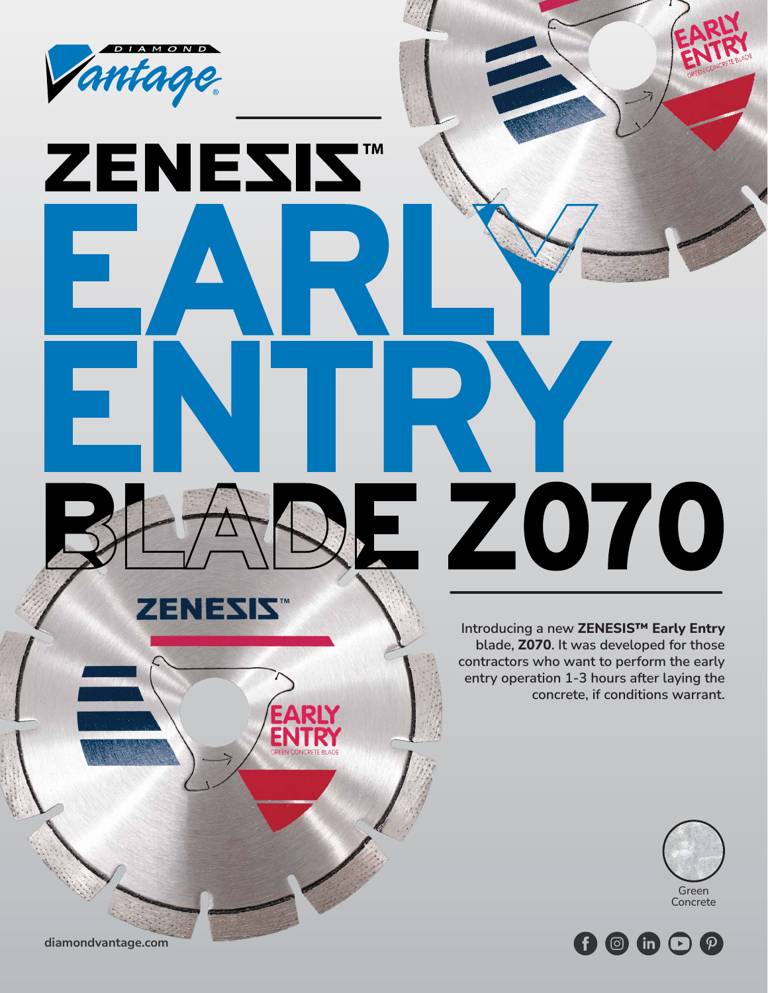

ZENESIST

**EARLY** 

**ENTRY**

**Introducing a new ZENESIS™ Early Entry blade, Z070. It was developed for those contractors who want to perform the early entry operation 1-3 hours after laying the concrete, if conditions warrant.**

**BLADE Z070**





**diamondvantage.com**